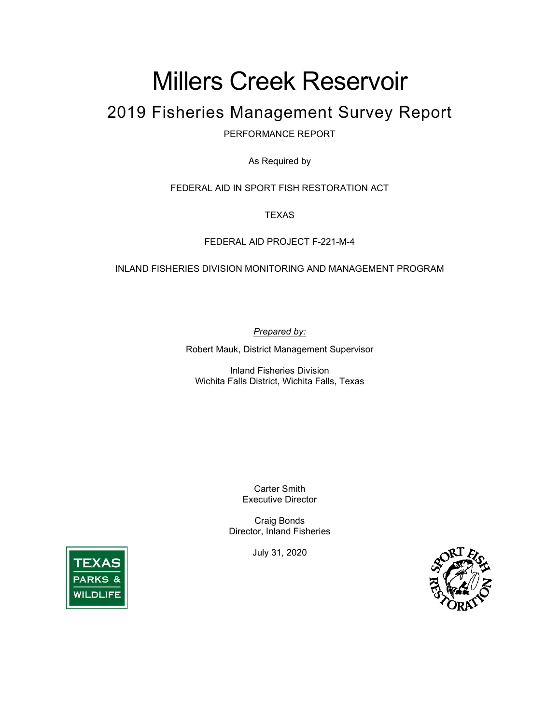# Millers Creek Reservoir

# 2019 Fisheries Management Survey Report

PERFORMANCE REPORT

As Required by

FEDERAL AID IN SPORT FISH RESTORATION ACT

**TEXAS** 

FEDERAL AID PROJECT F-221-M-4

INLAND FISHERIES DIVISION MONITORING AND MANAGEMENT PROGRAM

*Prepared by:*

Robert Mauk, District Management Supervisor

Inland Fisheries Division Wichita Falls District, Wichita Falls, Texas

> Carter Smith Executive Director

Craig Bonds Director, Inland Fisheries

July 31, 2020



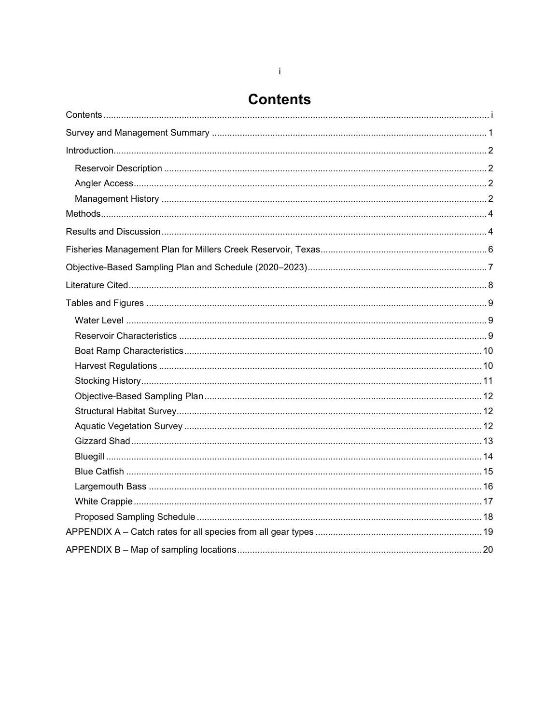# **Contents**

<span id="page-1-0"></span>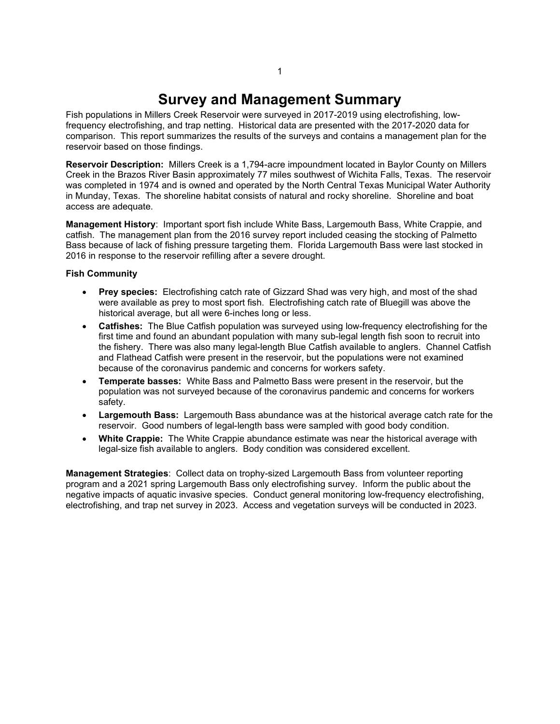# **Survey and Management Summary**

<span id="page-2-0"></span>Fish populations in Millers Creek Reservoir were surveyed in 2017-2019 using electrofishing, lowfrequency electrofishing, and trap netting. Historical data are presented with the 2017-2020 data for comparison. This report summarizes the results of the surveys and contains a management plan for the reservoir based on those findings.

**Reservoir Description:** Millers Creek is a 1,794-acre impoundment located in Baylor County on Millers Creek in the Brazos River Basin approximately 77 miles southwest of Wichita Falls, Texas. The reservoir was completed in 1974 and is owned and operated by the North Central Texas Municipal Water Authority in Munday, Texas. The shoreline habitat consists of natural and rocky shoreline. Shoreline and boat access are adequate.

**Management History**: Important sport fish include White Bass, Largemouth Bass, White Crappie, and catfish. The management plan from the 2016 survey report included ceasing the stocking of Palmetto Bass because of lack of fishing pressure targeting them. Florida Largemouth Bass were last stocked in 2016 in response to the reservoir refilling after a severe drought.

#### **Fish Community**

- **Prey species:** Electrofishing catch rate of Gizzard Shad was very high, and most of the shad were available as prey to most sport fish. Electrofishing catch rate of Bluegill was above the historical average, but all were 6-inches long or less.
- **Catfishes:** The Blue Catfish population was surveyed using low-frequency electrofishing for the first time and found an abundant population with many sub-legal length fish soon to recruit into the fishery. There was also many legal-length Blue Catfish available to anglers. Channel Catfish and Flathead Catfish were present in the reservoir, but the populations were not examined because of the coronavirus pandemic and concerns for workers safety.
- **Temperate basses:** White Bass and Palmetto Bass were present in the reservoir, but the population was not surveyed because of the coronavirus pandemic and concerns for workers safety.
- **Largemouth Bass:** Largemouth Bass abundance was at the historical average catch rate for the reservoir. Good numbers of legal-length bass were sampled with good body condition.
- **White Crappie:** The White Crappie abundance estimate was near the historical average with legal-size fish available to anglers. Body condition was considered excellent.

**Management Strategies**: Collect data on trophy-sized Largemouth Bass from volunteer reporting program and a 2021 spring Largemouth Bass only electrofishing survey. Inform the public about the negative impacts of aquatic invasive species. Conduct general monitoring low-frequency electrofishing, electrofishing, and trap net survey in 2023. Access and vegetation surveys will be conducted in 2023.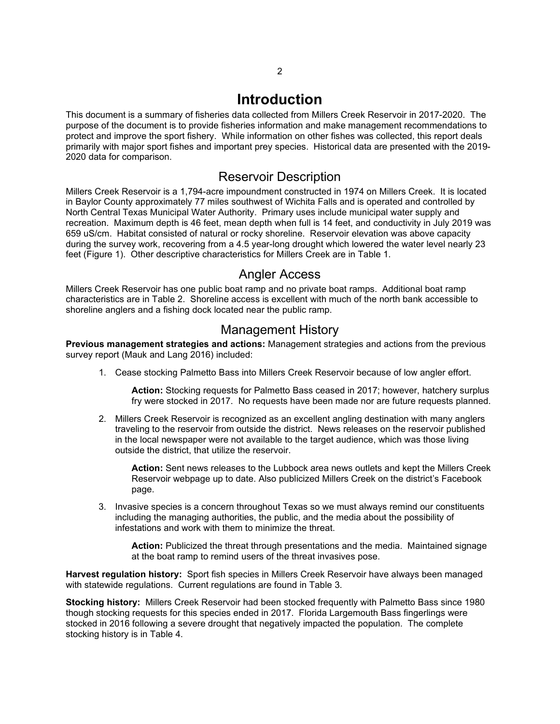## **Introduction**

<span id="page-3-0"></span>This document is a summary of fisheries data collected from Millers Creek Reservoir in 2017-2020. The purpose of the document is to provide fisheries information and make management recommendations to protect and improve the sport fishery. While information on other fishes was collected, this report deals primarily with major sport fishes and important prey species. Historical data are presented with the 2019- 2020 data for comparison.

### Reservoir Description

<span id="page-3-1"></span>Millers Creek Reservoir is a 1,794-acre impoundment constructed in 1974 on Millers Creek. It is located in Baylor County approximately 77 miles southwest of Wichita Falls and is operated and controlled by North Central Texas Municipal Water Authority. Primary uses include municipal water supply and recreation. Maximum depth is 46 feet, mean depth when full is 14 feet, and conductivity in July 2019 was 659 uS/cm. Habitat consisted of natural or rocky shoreline. Reservoir elevation was above capacity during the survey work, recovering from a 4.5 year-long drought which lowered the water level nearly 23 feet (Figure 1). Other descriptive characteristics for Millers Creek are in Table 1.

### Angler Access

<span id="page-3-2"></span>Millers Creek Reservoir has one public boat ramp and no private boat ramps. Additional boat ramp characteristics are in Table 2. Shoreline access is excellent with much of the north bank accessible to shoreline anglers and a fishing dock located near the public ramp.

### Management History

<span id="page-3-3"></span>**Previous management strategies and actions:** Management strategies and actions from the previous survey report (Mauk and Lang 2016) included:

1. Cease stocking Palmetto Bass into Millers Creek Reservoir because of low angler effort.

**Action:** Stocking requests for Palmetto Bass ceased in 2017; however, hatchery surplus fry were stocked in 2017. No requests have been made nor are future requests planned.

2. Millers Creek Reservoir is recognized as an excellent angling destination with many anglers traveling to the reservoir from outside the district. News releases on the reservoir published in the local newspaper were not available to the target audience, which was those living outside the district, that utilize the reservoir.

**Action:** Sent news releases to the Lubbock area news outlets and kept the Millers Creek Reservoir webpage up to date. Also publicized Millers Creek on the district's Facebook page.

3. Invasive species is a concern throughout Texas so we must always remind our constituents including the managing authorities, the public, and the media about the possibility of infestations and work with them to minimize the threat.

**Action:** Publicized the threat through presentations and the media. Maintained signage at the boat ramp to remind users of the threat invasives pose.

**Harvest regulation history:** Sport fish species in Millers Creek Reservoir have always been managed with statewide regulations. Current regulations are found in Table 3.

**Stocking history:** Millers Creek Reservoir had been stocked frequently with Palmetto Bass since 1980 though stocking requests for this species ended in 2017. Florida Largemouth Bass fingerlings were stocked in 2016 following a severe drought that negatively impacted the population. The complete stocking history is in Table 4.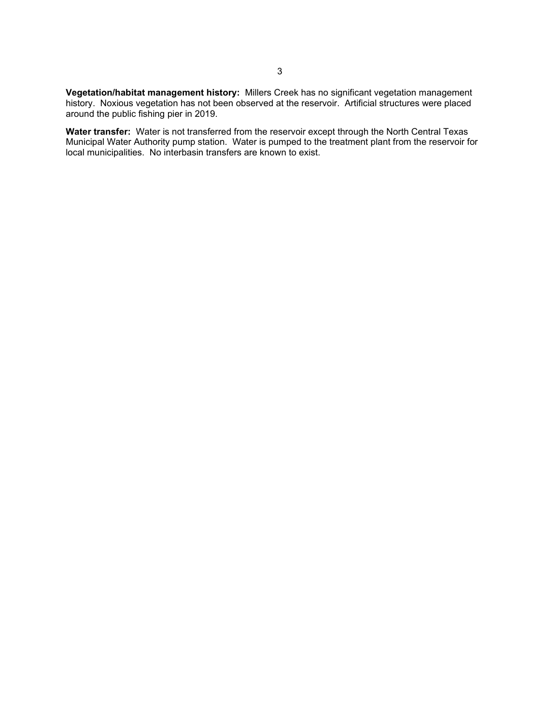**Vegetation/habitat management history:** Millers Creek has no significant vegetation management history. Noxious vegetation has not been observed at the reservoir. Artificial structures were placed around the public fishing pier in 2019.

**Water transfer:** Water is not transferred from the reservoir except through the North Central Texas Municipal Water Authority pump station. Water is pumped to the treatment plant from the reservoir for local municipalities. No interbasin transfers are known to exist.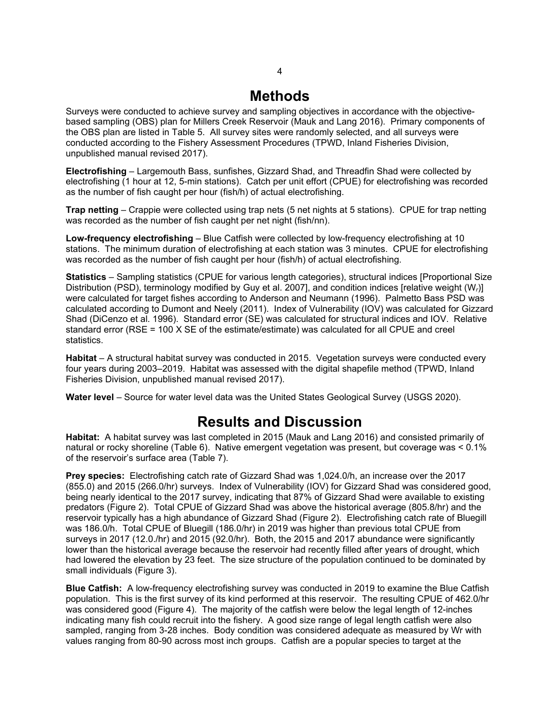# **Methods**

<span id="page-5-0"></span>Surveys were conducted to achieve survey and sampling objectives in accordance with the objectivebased sampling (OBS) plan for Millers Creek Reservoir (Mauk and Lang 2016). Primary components of the OBS plan are listed in Table 5. All survey sites were randomly selected, and all surveys were conducted according to the Fishery Assessment Procedures (TPWD, Inland Fisheries Division, unpublished manual revised 2017).

**Electrofishing** – Largemouth Bass, sunfishes, Gizzard Shad, and Threadfin Shad were collected by electrofishing (1 hour at 12, 5-min stations). Catch per unit effort (CPUE) for electrofishing was recorded as the number of fish caught per hour (fish/h) of actual electrofishing.

**Trap netting** – Crappie were collected using trap nets (5 net nights at 5 stations). CPUE for trap netting was recorded as the number of fish caught per net night (fish/nn).

**Low-frequency electrofishing** – Blue Catfish were collected by low-frequency electrofishing at 10 stations. The minimum duration of electrofishing at each station was 3 minutes. CPUE for electrofishing was recorded as the number of fish caught per hour (fish/h) of actual electrofishing.

**Statistics** – Sampling statistics (CPUE for various length categories), structural indices [Proportional Size Distribution (PSD), terminology modified by Guy et al. 2007], and condition indices [relative weight (W*r*)] were calculated for target fishes according to Anderson and Neumann (1996). Palmetto Bass PSD was calculated according to Dumont and Neely (2011). Index of Vulnerability (IOV) was calculated for Gizzard Shad (DiCenzo et al. 1996). Standard error (SE) was calculated for structural indices and IOV. Relative standard error (RSE = 100 X SE of the estimate/estimate) was calculated for all CPUE and creel statistics.

**Habitat** – A structural habitat survey was conducted in 2015. Vegetation surveys were conducted every four years during 2003–2019. Habitat was assessed with the digital shapefile method (TPWD, Inland Fisheries Division, unpublished manual revised 2017).

<span id="page-5-1"></span>**Water level** – Source for water level data was the United States Geological Survey (USGS 2020).

## **Results and Discussion**

**Habitat:** A habitat survey was last completed in 2015 (Mauk and Lang 2016) and consisted primarily of natural or rocky shoreline (Table 6). Native emergent vegetation was present, but coverage was < 0.1% of the reservoir's surface area (Table 7).

**Prey species:** Electrofishing catch rate of Gizzard Shad was 1,024.0/h, an increase over the 2017 (855.0) and 2015 (266.0/hr) surveys. Index of Vulnerability (IOV) for Gizzard Shad was considered good, being nearly identical to the 2017 survey, indicating that 87% of Gizzard Shad were available to existing predators (Figure 2). Total CPUE of Gizzard Shad was above the historical average (805.8/hr) and the reservoir typically has a high abundance of Gizzard Shad (Figure 2). Electrofishing catch rate of Bluegill was 186.0/h. Total CPUE of Bluegill (186.0/hr) in 2019 was higher than previous total CPUE from surveys in 2017 (12.0./hr) and 2015 (92.0/hr). Both, the 2015 and 2017 abundance were significantly lower than the historical average because the reservoir had recently filled after years of drought, which had lowered the elevation by 23 feet. The size structure of the population continued to be dominated by small individuals (Figure 3).

**Blue Catfish:** A low-frequency electrofishing survey was conducted in 2019 to examine the Blue Catfish population. This is the first survey of its kind performed at this reservoir. The resulting CPUE of 462.0/hr was considered good (Figure 4). The majority of the catfish were below the legal length of 12-inches indicating many fish could recruit into the fishery. A good size range of legal length catfish were also sampled, ranging from 3-28 inches. Body condition was considered adequate as measured by Wr with values ranging from 80-90 across most inch groups. Catfish are a popular species to target at the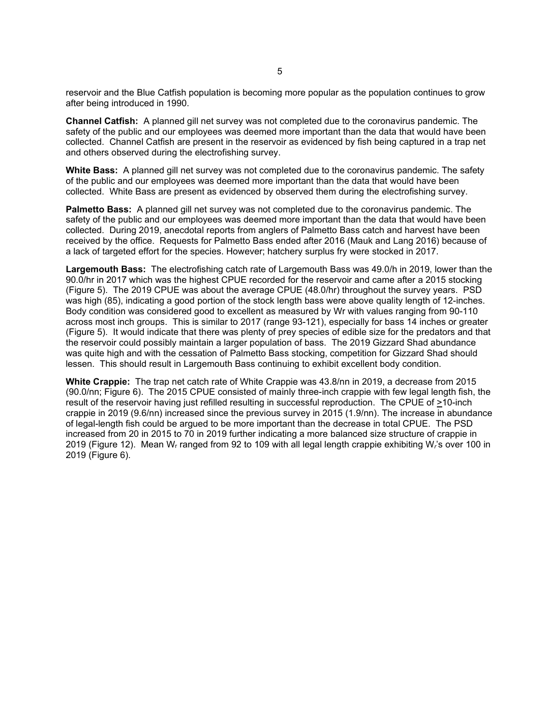reservoir and the Blue Catfish population is becoming more popular as the population continues to grow after being introduced in 1990.

**Channel Catfish:** A planned gill net survey was not completed due to the coronavirus pandemic. The safety of the public and our employees was deemed more important than the data that would have been collected. Channel Catfish are present in the reservoir as evidenced by fish being captured in a trap net and others observed during the electrofishing survey.

**White Bass:** A planned gill net survey was not completed due to the coronavirus pandemic. The safety of the public and our employees was deemed more important than the data that would have been collected. White Bass are present as evidenced by observed them during the electrofishing survey.

**Palmetto Bass:** A planned gill net survey was not completed due to the coronavirus pandemic. The safety of the public and our employees was deemed more important than the data that would have been collected. During 2019, anecdotal reports from anglers of Palmetto Bass catch and harvest have been received by the office. Requests for Palmetto Bass ended after 2016 (Mauk and Lang 2016) because of a lack of targeted effort for the species. However; hatchery surplus fry were stocked in 2017.

**Largemouth Bass:** The electrofishing catch rate of Largemouth Bass was 49.0/h in 2019, lower than the 90.0/hr in 2017 which was the highest CPUE recorded for the reservoir and came after a 2015 stocking (Figure 5). The 2019 CPUE was about the average CPUE (48.0/hr) throughout the survey years. PSD was high (85), indicating a good portion of the stock length bass were above quality length of 12-inches. Body condition was considered good to excellent as measured by Wr with values ranging from 90-110 across most inch groups. This is similar to 2017 (range 93-121), especially for bass 14 inches or greater (Figure 5). It would indicate that there was plenty of prey species of edible size for the predators and that the reservoir could possibly maintain a larger population of bass. The 2019 Gizzard Shad abundance was quite high and with the cessation of Palmetto Bass stocking, competition for Gizzard Shad should lessen. This should result in Largemouth Bass continuing to exhibit excellent body condition.

**White Crappie:** The trap net catch rate of White Crappie was 43.8/nn in 2019, a decrease from 2015 (90.0/nn; Figure 6). The 2015 CPUE consisted of mainly three-inch crappie with few legal length fish, the result of the reservoir having just refilled resulting in successful reproduction. The CPUE of >10-inch crappie in 2019 (9.6/nn) increased since the previous survey in 2015 (1.9/nn). The increase in abundance of legal-length fish could be argued to be more important than the decrease in total CPUE. The PSD increased from 20 in 2015 to 70 in 2019 further indicating a more balanced size structure of crappie in 2019 (Figure 12). Mean Wr ranged from 92 to 109 with all legal length crappie exhibiting W*r*'s over 100 in 2019 (Figure 6).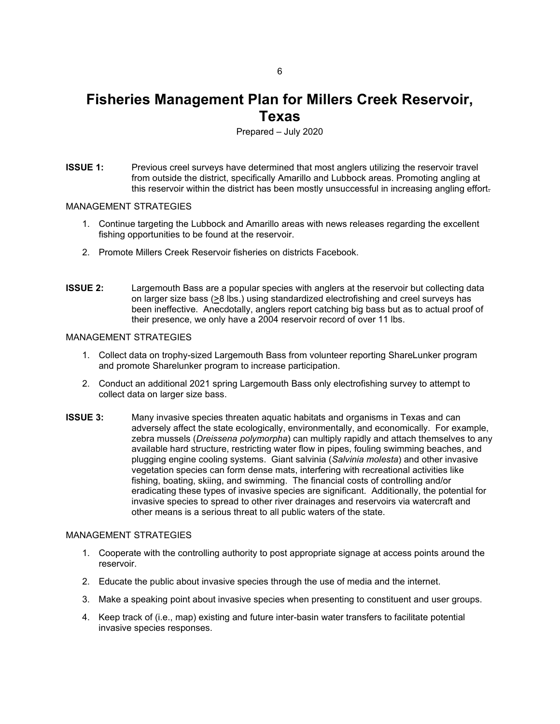## <span id="page-7-0"></span>**Fisheries Management Plan for Millers Creek Reservoir, Texas**

Prepared – July 2020

**ISSUE 1:** Previous creel surveys have determined that most anglers utilizing the reservoir travel from outside the district, specifically Amarillo and Lubbock areas. Promoting angling at this reservoir within the district has been mostly unsuccessful in increasing angling effort.

#### MANAGEMENT STRATEGIES

- 1. Continue targeting the Lubbock and Amarillo areas with news releases regarding the excellent fishing opportunities to be found at the reservoir.
- 2. Promote Millers Creek Reservoir fisheries on districts Facebook.
- **ISSUE 2:** Largemouth Bass are a popular species with anglers at the reservoir but collecting data on larger size bass (>8 lbs.) using standardized electrofishing and creel surveys has been ineffective. Anecdotally, anglers report catching big bass but as to actual proof of their presence, we only have a 2004 reservoir record of over 11 lbs.

#### MANAGEMENT STRATEGIES

- 1. Collect data on trophy-sized Largemouth Bass from volunteer reporting ShareLunker program and promote Sharelunker program to increase participation.
- 2. Conduct an additional 2021 spring Largemouth Bass only electrofishing survey to attempt to collect data on larger size bass.
- **ISSUE 3:** Many invasive species threaten aquatic habitats and organisms in Texas and can adversely affect the state ecologically, environmentally, and economically. For example, zebra mussels (*Dreissena polymorpha*) can multiply rapidly and attach themselves to any available hard structure, restricting water flow in pipes, fouling swimming beaches, and plugging engine cooling systems. Giant salvinia (*Salvinia molesta*) and other invasive vegetation species can form dense mats, interfering with recreational activities like fishing, boating, skiing, and swimming. The financial costs of controlling and/or eradicating these types of invasive species are significant. Additionally, the potential for invasive species to spread to other river drainages and reservoirs via watercraft and other means is a serious threat to all public waters of the state.

#### MANAGEMENT STRATEGIES

- 1. Cooperate with the controlling authority to post appropriate signage at access points around the reservoir.
- 2. Educate the public about invasive species through the use of media and the internet.
- 3. Make a speaking point about invasive species when presenting to constituent and user groups.
- 4. Keep track of (i.e., map) existing and future inter-basin water transfers to facilitate potential invasive species responses.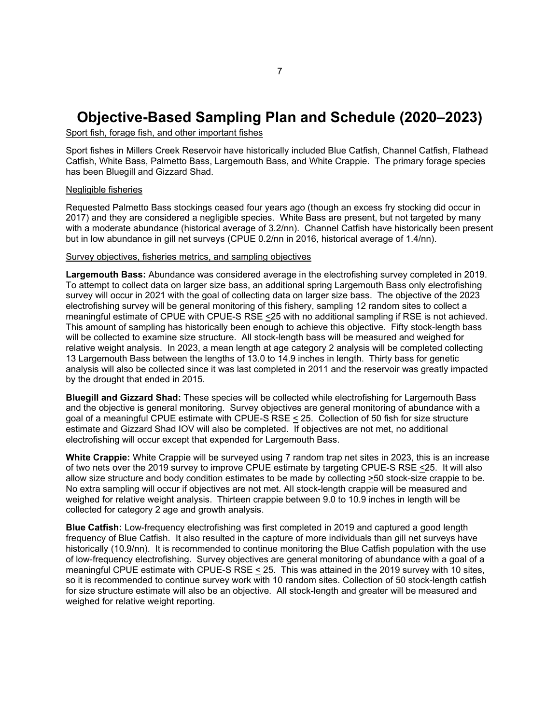# <span id="page-8-0"></span>**Objective-Based Sampling Plan and Schedule (2020–2023)**

Sport fish, forage fish, and other important fishes

Sport fishes in Millers Creek Reservoir have historically included Blue Catfish, Channel Catfish, Flathead Catfish, White Bass, Palmetto Bass, Largemouth Bass, and White Crappie. The primary forage species has been Bluegill and Gizzard Shad.

#### Negligible fisheries

Requested Palmetto Bass stockings ceased four years ago (though an excess fry stocking did occur in 2017) and they are considered a negligible species. White Bass are present, but not targeted by many with a moderate abundance (historical average of 3.2/nn). Channel Catfish have historically been present but in low abundance in gill net surveys (CPUE 0.2/nn in 2016, historical average of 1.4/nn).

#### Survey objectives, fisheries metrics, and sampling objectives

**Largemouth Bass:** Abundance was considered average in the electrofishing survey completed in 2019. To attempt to collect data on larger size bass, an additional spring Largemouth Bass only electrofishing survey will occur in 2021 with the goal of collecting data on larger size bass. The objective of the 2023 electrofishing survey will be general monitoring of this fishery, sampling 12 random sites to collect a meaningful estimate of CPUE with CPUE-S RSE <25 with no additional sampling if RSE is not achieved. This amount of sampling has historically been enough to achieve this objective. Fifty stock-length bass will be collected to examine size structure. All stock-length bass will be measured and weighed for relative weight analysis. In 2023, a mean length at age category 2 analysis will be completed collecting 13 Largemouth Bass between the lengths of 13.0 to 14.9 inches in length. Thirty bass for genetic analysis will also be collected since it was last completed in 2011 and the reservoir was greatly impacted by the drought that ended in 2015.

**Bluegill and Gizzard Shad:** These species will be collected while electrofishing for Largemouth Bass and the objective is general monitoring. Survey objectives are general monitoring of abundance with a goal of a meaningful CPUE estimate with CPUE-S RSE < 25. Collection of 50 fish for size structure estimate and Gizzard Shad IOV will also be completed. If objectives are not met, no additional electrofishing will occur except that expended for Largemouth Bass.

**White Crappie:** White Crappie will be surveyed using 7 random trap net sites in 2023, this is an increase of two nets over the 2019 survey to improve CPUE estimate by targeting CPUE-S RSE <25. It will also allow size structure and body condition estimates to be made by collecting  $\geq 50$  stock-size crappie to be. No extra sampling will occur if objectives are not met. All stock-length crappie will be measured and weighed for relative weight analysis. Thirteen crappie between 9.0 to 10.9 inches in length will be collected for category 2 age and growth analysis.

**Blue Catfish:** Low-frequency electrofishing was first completed in 2019 and captured a good length frequency of Blue Catfish. It also resulted in the capture of more individuals than gill net surveys have historically (10.9/nn). It is recommended to continue monitoring the Blue Catfish population with the use of low-frequency electrofishing. Survey objectives are general monitoring of abundance with a goal of a meaningful CPUE estimate with CPUE-S RSE < 25. This was attained in the 2019 survey with 10 sites, so it is recommended to continue survey work with 10 random sites. Collection of 50 stock-length catfish for size structure estimate will also be an objective. All stock-length and greater will be measured and weighed for relative weight reporting.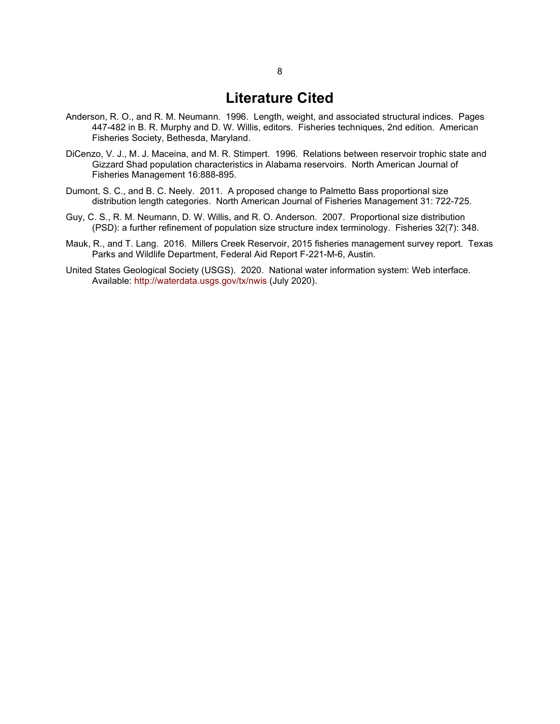### **Literature Cited**

- <span id="page-9-0"></span>Anderson, R. O., and R. M. Neumann. 1996. Length, weight, and associated structural indices. Pages 447-482 in B. R. Murphy and D. W. Willis, editors. Fisheries techniques, 2nd edition. American Fisheries Society, Bethesda, Maryland.
- DiCenzo, V. J., M. J. Maceina, and M. R. Stimpert. 1996. Relations between reservoir trophic state and Gizzard Shad population characteristics in Alabama reservoirs. North American Journal of Fisheries Management 16:888-895.
- Dumont, S. C., and B. C. Neely. 2011. A proposed change to Palmetto Bass proportional size distribution length categories. North American Journal of Fisheries Management 31: 722-725.
- Guy, C. S., R. M. Neumann, D. W. Willis, and R. O. Anderson. 2007. Proportional size distribution (PSD): a further refinement of population size structure index terminology. Fisheries 32(7): 348.
- Mauk, R., and T. Lang. 2016. Millers Creek Reservoir, 2015 fisheries management survey report. Texas Parks and Wildlife Department, Federal Aid Report F-221-M-6, Austin.
- United States Geological Society (USGS). 2020. National water information system: Web interface. Available:<http://waterdata.usgs.gov/tx/nwis> (July 2020).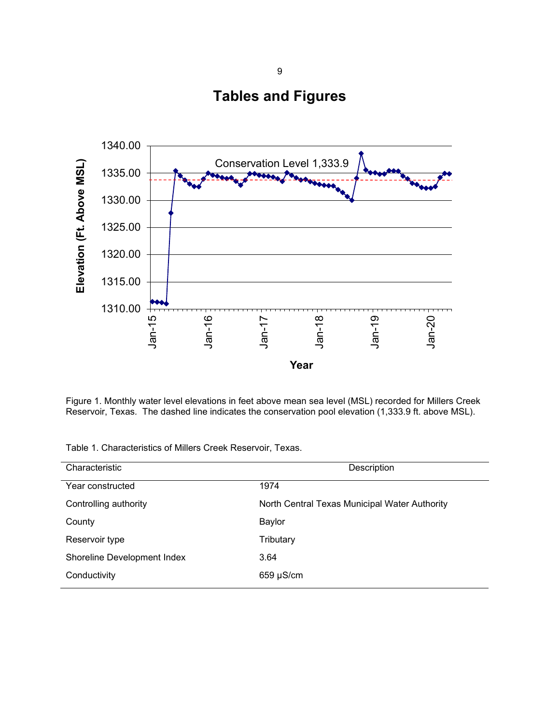**Tables and Figures**

<span id="page-10-1"></span><span id="page-10-0"></span>

Figure 1. Monthly water level elevations in feet above mean sea level (MSL) recorded for Millers Creek Reservoir, Texas*.* The dashed line indicates the conservation pool elevation (1,333.9 ft. above MSL).

|  | Table 1. Characteristics of Millers Creek Reservoir, Texas. |  |  |  |  |
|--|-------------------------------------------------------------|--|--|--|--|
|--|-------------------------------------------------------------|--|--|--|--|

| Description                                   |  |  |  |
|-----------------------------------------------|--|--|--|
| 1974                                          |  |  |  |
| North Central Texas Municipal Water Authority |  |  |  |
| Baylor                                        |  |  |  |
| Tributary                                     |  |  |  |
| 3.64                                          |  |  |  |
| $659 \mu S/cm$                                |  |  |  |
|                                               |  |  |  |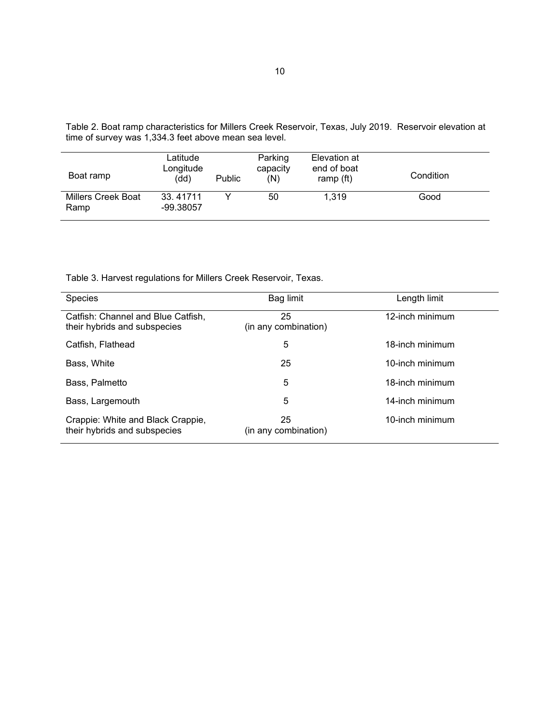<span id="page-11-0"></span>Table 2. Boat ramp characteristics for Millers Creek Reservoir, Texas, July 2019. Reservoir elevation at time of survey was 1,334.3 feet above mean sea level.

| Boat ramp                         | Latitude<br>Longitude<br>(dd) | <b>Public</b> | Parking<br>capacity<br>(N) | Elevation at<br>end of boat<br>ramp (ft) | Condition |
|-----------------------------------|-------------------------------|---------------|----------------------------|------------------------------------------|-----------|
| <b>Millers Creek Boat</b><br>Ramp | 33.41711<br>-99.38057         |               | 50                         | 1.319                                    | Good      |

Table 3. Harvest regulations for Millers Creek Reservoir, Texas.

| <b>Species</b>                                                     | Bag limit                  | Length limit    |
|--------------------------------------------------------------------|----------------------------|-----------------|
| Catfish: Channel and Blue Catfish,<br>their hybrids and subspecies | 25<br>(in any combination) | 12-inch minimum |
| Catfish, Flathead                                                  | 5                          | 18-inch minimum |
| Bass, White                                                        | 25                         | 10-inch minimum |
| Bass, Palmetto                                                     | 5                          | 18-inch minimum |
| Bass, Largemouth                                                   | 5                          | 14-inch minimum |
| Crappie: White and Black Crappie,<br>their hybrids and subspecies  | 25<br>(in any combination) | 10-inch minimum |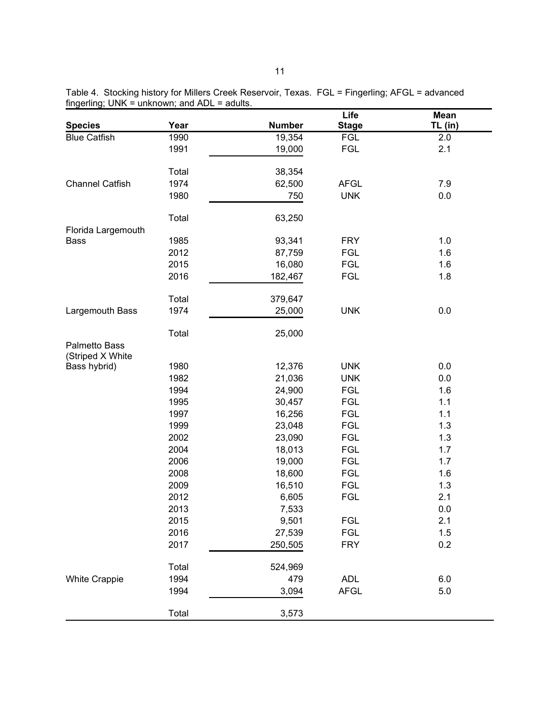|                        |       |               | Life         | Mean    |
|------------------------|-------|---------------|--------------|---------|
| <b>Species</b>         | Year  | <b>Number</b> | <b>Stage</b> | TL (in) |
| <b>Blue Catfish</b>    | 1990  | 19,354        | <b>FGL</b>   | 2.0     |
|                        | 1991  | 19,000        | <b>FGL</b>   | 2.1     |
|                        | Total | 38,354        |              |         |
| <b>Channel Catfish</b> | 1974  | 62,500        | <b>AFGL</b>  | 7.9     |
|                        | 1980  | 750           | <b>UNK</b>   | 0.0     |
|                        | Total | 63,250        |              |         |
| Florida Largemouth     |       |               |              |         |
| Bass                   | 1985  | 93,341        | <b>FRY</b>   | 1.0     |
|                        | 2012  | 87,759        | <b>FGL</b>   | 1.6     |
|                        | 2015  | 16,080        | <b>FGL</b>   | 1.6     |
|                        | 2016  | 182,467       | <b>FGL</b>   | 1.8     |
|                        | Total | 379,647       |              |         |
| Largemouth Bass        | 1974  | 25,000        | <b>UNK</b>   | 0.0     |
|                        | Total | 25,000        |              |         |
| Palmetto Bass          |       |               |              |         |
| (Striped X White       |       |               |              |         |
| Bass hybrid)           | 1980  | 12,376        | <b>UNK</b>   | 0.0     |
|                        | 1982  | 21,036        | <b>UNK</b>   | 0.0     |
|                        | 1994  | 24,900        | <b>FGL</b>   | 1.6     |
|                        | 1995  | 30,457        | <b>FGL</b>   | 1.1     |
|                        | 1997  | 16,256        | <b>FGL</b>   | 1.1     |
|                        | 1999  | 23,048        | <b>FGL</b>   | 1.3     |
|                        | 2002  | 23,090        | <b>FGL</b>   | 1.3     |
|                        | 2004  | 18,013        | <b>FGL</b>   | 1.7     |
|                        | 2006  | 19,000        | <b>FGL</b>   | 1.7     |
|                        | 2008  | 18,600        | <b>FGL</b>   | 1.6     |
|                        | 2009  | 16,510        | <b>FGL</b>   | 1.3     |
|                        | 2012  | 6,605         | <b>FGL</b>   | 2.1     |
|                        | 2013  | 7,533         |              | 0.0     |
|                        | 2015  | 9,501         | <b>FGL</b>   | 2.1     |
|                        | 2016  | 27,539        | FGL          | 1.5     |
|                        | 2017  | 250,505       | <b>FRY</b>   | 0.2     |
|                        | Total | 524,969       |              |         |
| <b>White Crappie</b>   | 1994  | 479           | <b>ADL</b>   | 6.0     |
|                        | 1994  | 3,094         | <b>AFGL</b>  | $5.0\,$ |
|                        | Total | 3,573         |              |         |

<span id="page-12-0"></span>Table 4. Stocking history for Millers Creek Reservoir, Texas. FGL = Fingerling; AFGL = advanced fingerling; UNK = unknown; and ADL = adults.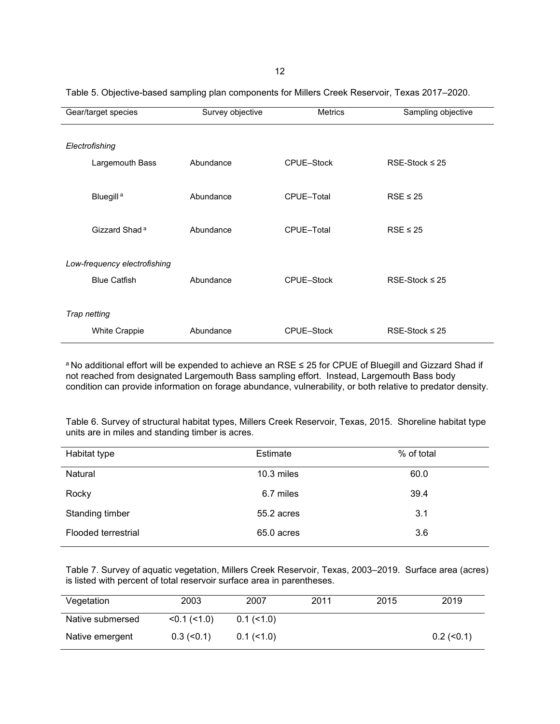| Gear/target species |                              | Survey objective | <b>Metrics</b>    | Sampling objective  |
|---------------------|------------------------------|------------------|-------------------|---------------------|
|                     |                              |                  |                   |                     |
|                     | Electrofishing               |                  |                   |                     |
|                     | Largemouth Bass              | Abundance        | CPUE-Stock        | RSE-Stock $\leq$ 25 |
|                     |                              |                  |                   |                     |
|                     | Bluegill <sup>a</sup>        | Abundance        | CPUE-Total        | $RSE \leq 25$       |
|                     |                              |                  |                   |                     |
|                     | Gizzard Shad <sup>a</sup>    | Abundance        | CPUE-Total        | $RSE \leq 25$       |
|                     |                              |                  |                   |                     |
|                     | Low-frequency electrofishing |                  |                   |                     |
|                     | <b>Blue Catfish</b>          | Abundance        | CPUE-Stock        | RSE-Stock $\leq$ 25 |
|                     |                              |                  |                   |                     |
|                     | Trap netting                 |                  |                   |                     |
|                     | <b>White Crappie</b>         | Abundance        | <b>CPUE-Stock</b> | RSE-Stock $\leq$ 25 |

<span id="page-13-0"></span>Table 5. Objective-based sampling plan components for Millers Creek Reservoir, Texas 2017–2020.

a No additional effort will be expended to achieve an RSE ≤ 25 for CPUE of Bluegill and Gizzard Shad if not reached from designated Largemouth Bass sampling effort. Instead, Largemouth Bass body condition can provide information on forage abundance, vulnerability, or both relative to predator density.

<span id="page-13-1"></span>Table 6. Survey of structural habitat types, Millers Creek Reservoir, Texas, 2015. Shoreline habitat type units are in miles and standing timber is acres.

| Habitat type        | Estimate     | % of total |
|---------------------|--------------|------------|
| Natural             | $10.3$ miles | 60.0       |
| Rocky               | 6.7 miles    | 39.4       |
| Standing timber     | 55.2 acres   | 3.1        |
| Flooded terrestrial | 65.0 acres   | 3.6        |

<span id="page-13-2"></span>Table 7. Survey of aquatic vegetation, Millers Creek Reservoir, Texas, 2003–2019. Surface area (acres) is listed with percent of total reservoir surface area in parentheses.

| Vegetation       | 2003                 | 2007         | 2011 | 2015 | 2019         |
|------------------|----------------------|--------------|------|------|--------------|
| Native submersed | < 0.1 (< 1.0)        | $0.1$ (<1.0) |      |      |              |
| Native emergent  | $0.3$ ( $\leq 0.1$ ) | $0.1$ (<1.0) |      |      | $0.2$ (<0.1) |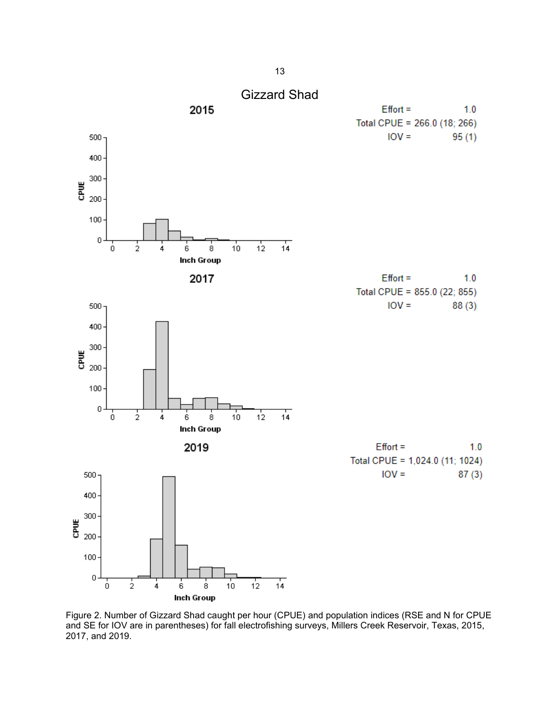<span id="page-14-0"></span>

Figure 2. Number of Gizzard Shad caught per hour (CPUE) and population indices (RSE and N for CPUE and SE for IOV are in parentheses) for fall electrofishing surveys, Millers Creek Reservoir, Texas, 2015, 2017, and 2019.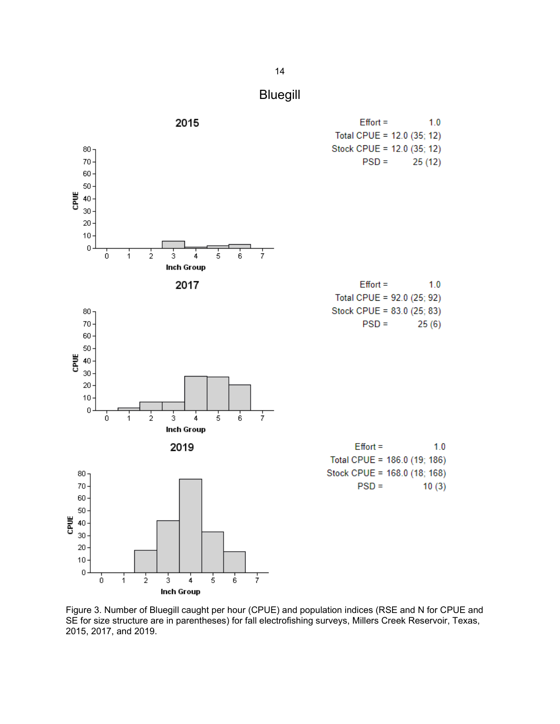

<span id="page-15-0"></span>

Figure 3. Number of Bluegill caught per hour (CPUE) and population indices (RSE and N for CPUE and SE for size structure are in parentheses) for fall electrofishing surveys, Millers Creek Reservoir, Texas, 2015, 2017, and 2019.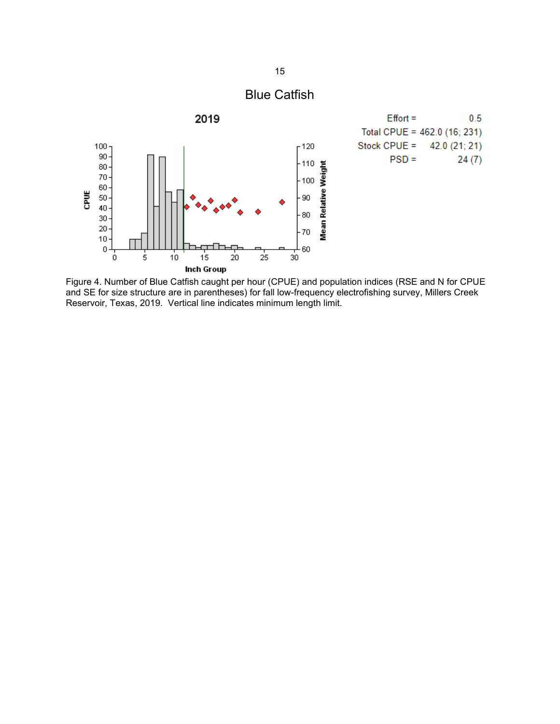<span id="page-16-0"></span>

Figure 4. Number of Blue Catfish caught per hour (CPUE) and population indices (RSE and N for CPUE and SE for size structure are in parentheses) for fall low-frequency electrofishing survey, Millers Creek Reservoir, Texas, 2019. Vertical line indicates minimum length limit.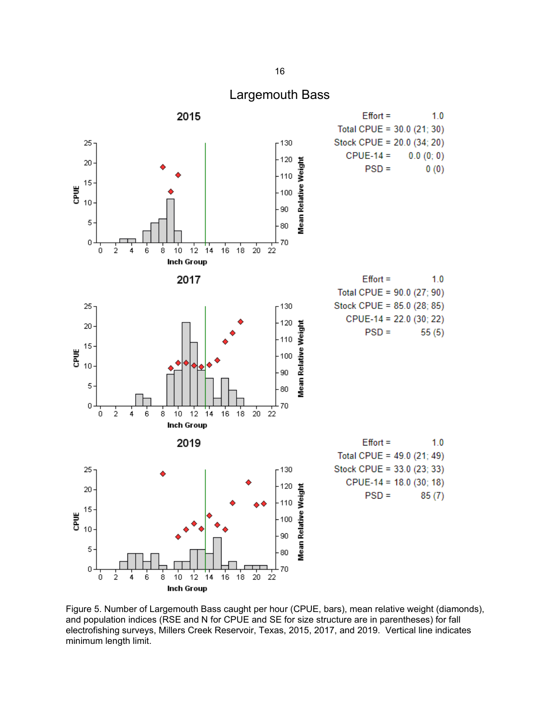#### Largemouth Bass

<span id="page-17-0"></span>

Figure 5. Number of Largemouth Bass caught per hour (CPUE, bars), mean relative weight (diamonds), and population indices (RSE and N for CPUE and SE for size structure are in parentheses) for fall electrofishing surveys, Millers Creek Reservoir, Texas, 2015, 2017, and 2019. Vertical line indicates minimum length limit.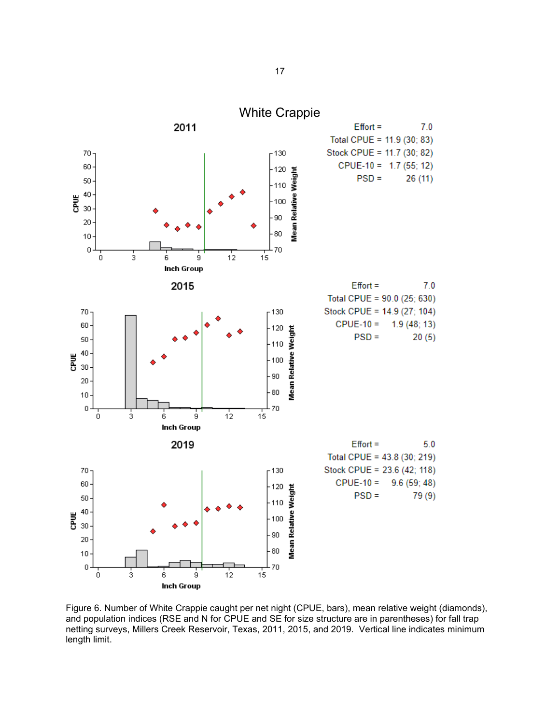<span id="page-18-0"></span>

Figure 6. Number of White Crappie caught per net night (CPUE, bars), mean relative weight (diamonds), and population indices (RSE and N for CPUE and SE for size structure are in parentheses) for fall trap netting surveys, Millers Creek Reservoir, Texas, 2011, 2015, and 2019. Vertical line indicates minimum length limit.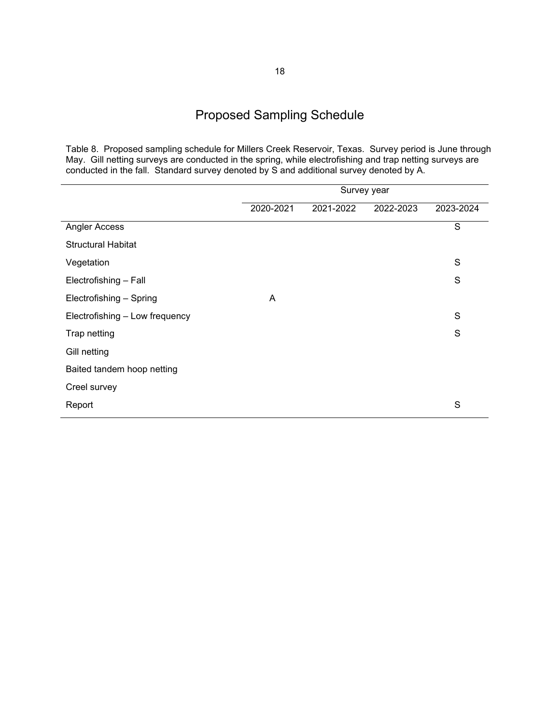# Proposed Sampling Schedule

<span id="page-19-0"></span>Table 8. Proposed sampling schedule for Millers Creek Reservoir, Texas. Survey period is June through May. Gill netting surveys are conducted in the spring, while electrofishing and trap netting surveys are conducted in the fall. Standard survey denoted by S and additional survey denoted by A.

|                                | Survey year |           |           |               |
|--------------------------------|-------------|-----------|-----------|---------------|
|                                | 2020-2021   | 2021-2022 | 2022-2023 | 2023-2024     |
| Angler Access                  |             |           |           | S             |
| <b>Structural Habitat</b>      |             |           |           |               |
| Vegetation                     |             |           |           | S             |
| Electrofishing - Fall          |             |           |           | S             |
| Electrofishing - Spring        | A           |           |           |               |
| Electrofishing - Low frequency |             |           |           | ${\mathsf S}$ |
| Trap netting                   |             |           |           | S             |
| Gill netting                   |             |           |           |               |
| Baited tandem hoop netting     |             |           |           |               |
| Creel survey                   |             |           |           |               |
| Report                         |             |           |           | S             |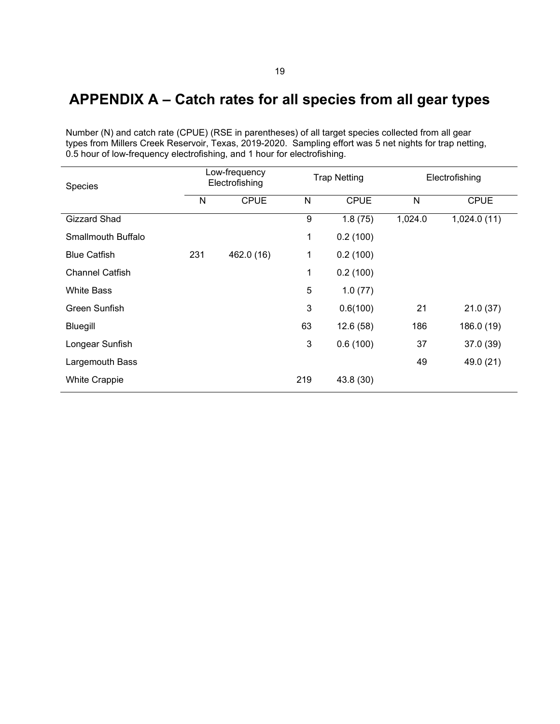# <span id="page-20-0"></span>**APPENDIX A – Catch rates for all species from all gear types**

Number (N) and catch rate (CPUE) (RSE in parentheses) of all target species collected from all gear types from Millers Creek Reservoir, Texas, 2019-2020. Sampling effort was 5 net nights for trap netting, 0.5 hour of low-frequency electrofishing, and 1 hour for electrofishing.

| Species                | Low-frequency<br>Electrofishing |             |              | <b>Trap Netting</b> |              | Electrofishing |  |
|------------------------|---------------------------------|-------------|--------------|---------------------|--------------|----------------|--|
|                        | N                               | <b>CPUE</b> | $\mathsf{N}$ | <b>CPUE</b>         | $\mathsf{N}$ | <b>CPUE</b>    |  |
| <b>Gizzard Shad</b>    |                                 |             | 9            | 1.8(75)             | 1,024.0      | 1,024.0(11)    |  |
| Smallmouth Buffalo     |                                 |             | 1            | 0.2(100)            |              |                |  |
| <b>Blue Catfish</b>    | 231                             | 462.0 (16)  | 1            | 0.2(100)            |              |                |  |
| <b>Channel Catfish</b> |                                 |             | $\mathbf 1$  | 0.2(100)            |              |                |  |
| <b>White Bass</b>      |                                 |             | 5            | 1.0(77)             |              |                |  |
| Green Sunfish          |                                 |             | 3            | 0.6(100)            | 21           | 21.0(37)       |  |
| Bluegill               |                                 |             | 63           | 12.6(58)            | 186          | 186.0 (19)     |  |
| Longear Sunfish        |                                 |             | 3            | 0.6(100)            | 37           | 37.0(39)       |  |
| Largemouth Bass        |                                 |             |              |                     | 49           | 49.0 (21)      |  |
| <b>White Crappie</b>   |                                 |             | 219          | 43.8 (30)           |              |                |  |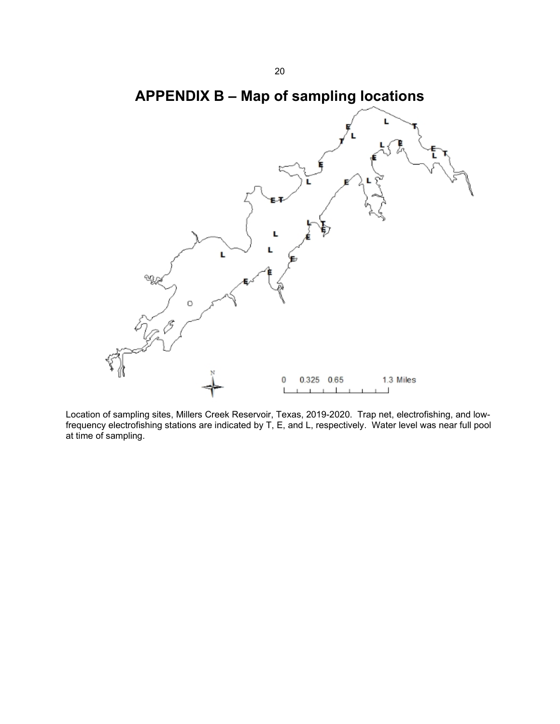

<span id="page-21-0"></span>

Location of sampling sites, Millers Creek Reservoir, Texas, 2019-2020. Trap net, electrofishing, and lowfrequency electrofishing stations are indicated by T, E, and L, respectively. Water level was near full pool at time of sampling.